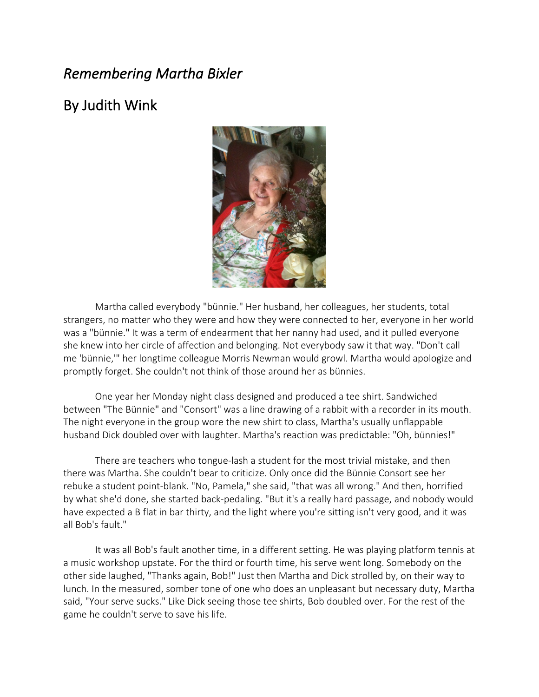## *Remembering Martha Bixler*

## By Judith Wink



Martha called everybody "bünnie." Her husband, her colleagues, her students, total strangers, no matter who they were and how they were connected to her, everyone in her world was a "bünnie." It was a term of endearment that her nanny had used, and it pulled everyone she knew into her circle of affection and belonging. Not everybody saw it that way. "Don't call me 'bünnie,'" her longtime colleague Morris Newman would growl. Martha would apologize and promptly forget. She couldn't not think of those around her as bünnies.

One year her Monday night class designed and produced a tee shirt. Sandwiched between "The Bünnie" and "Consort" was a line drawing of a rabbit with a recorder in its mouth. The night everyone in the group wore the new shirt to class, Martha's usually unflappable husband Dick doubled over with laughter. Martha's reaction was predictable: "Oh, bünnies!"

There are teachers who tongue-lash a student for the most trivial mistake, and then there was Martha. She couldn't bear to criticize. Only once did the Bünnie Consort see her rebuke a student point-blank. "No, Pamela," she said, "that was all wrong." And then, horrified by what she'd done, she started back-pedaling. "But it's a really hard passage, and nobody would have expected a B flat in bar thirty, and the light where you're sitting isn't very good, and it was all Bob's fault."

It was all Bob's fault another time, in a different setting. He was playing platform tennis at a music workshop upstate. For the third or fourth time, his serve went long. Somebody on the other side laughed, "Thanks again, Bob!" Just then Martha and Dick strolled by, on their way to lunch. In the measured, somber tone of one who does an unpleasant but necessary duty, Martha said, "Your serve sucks." Like Dick seeing those tee shirts, Bob doubled over. For the rest of the game he couldn't serve to save his life.